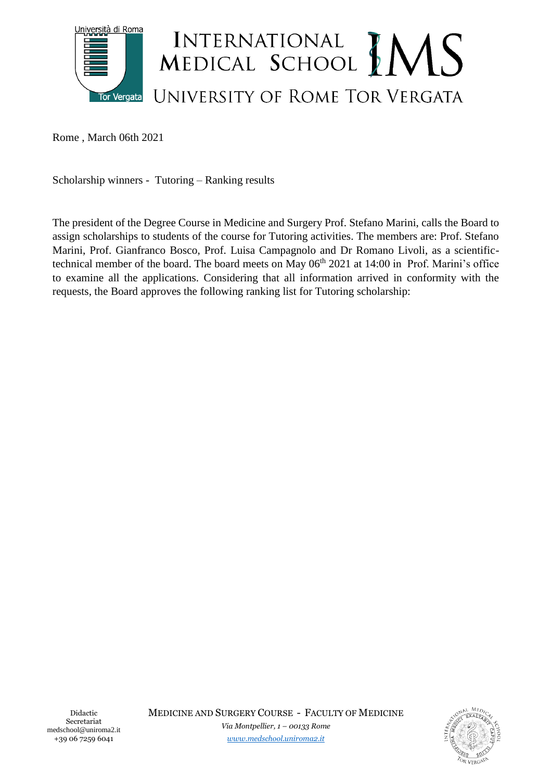

Rome , March 06th 2021

Scholarship winners - Tutoring – Ranking results

The president of the Degree Course in Medicine and Surgery Prof. Stefano Marini, calls the Board to assign scholarships to students of the course for Tutoring activities. The members are: Prof. Stefano Marini, Prof. Gianfranco Bosco, Prof. Luisa Campagnolo and Dr Romano Livoli, as a scientifictechnical member of the board. The board meets on May  $06<sup>th</sup> 2021$  at 14:00 in Prof. Marini's office to examine all the applications. Considering that all information arrived in conformity with the requests, the Board approves the following ranking list for Tutoring scholarship:

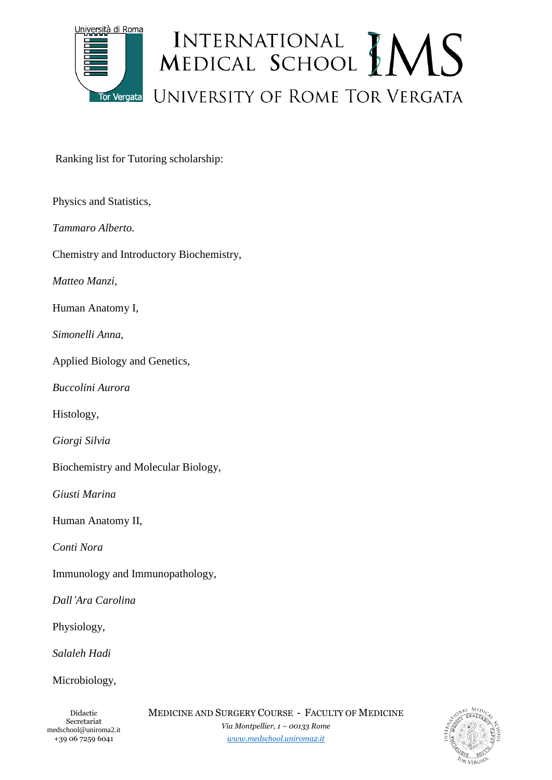

Ranking list for Tutoring scholarship:

| Physics and Statistics,                  |
|------------------------------------------|
| Tammaro Alberto.                         |
| Chemistry and Introductory Biochemistry, |
| Matteo Manzi,                            |
| Human Anatomy I,                         |
| Simonelli Anna,                          |
| Applied Biology and Genetics,            |
| <b>Buccolini Aurora</b>                  |
| Histology,                               |
| Giorgi Silvia                            |
| Biochemistry and Molecular Biology,      |
| Giusti Marina                            |
| Human Anatomy II,                        |
| Conti Nora                               |
| Immunology and Immunopathology,          |
| Dall'Ara Carolina                        |
| Physiology,                              |
| Salaleh Hadi                             |
| Microbiology,                            |
|                                          |

*[www.medschool.uniroma2.it](http://www.medschool.uniroma2.it/)*

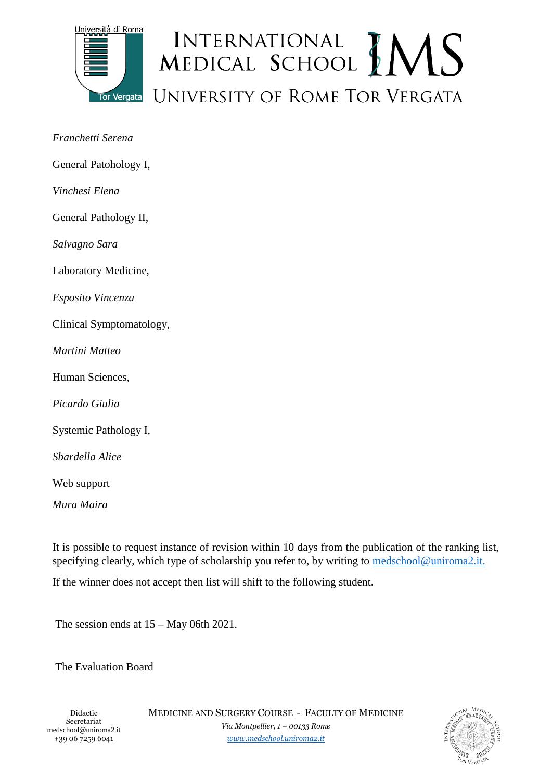

## INTERNATIONAL MEDICAL SCHOOL MENS UNIVERSITY OF ROME TOR VERGATA

| Franchetti Serena        |
|--------------------------|
| General Patohology I,    |
| Vinchesi Elena           |
| General Pathology II,    |
| Salvagno Sara            |
| Laboratory Medicine,     |
| Esposito Vincenza        |
| Clinical Symptomatology, |
| Martini Matteo           |
| Human Sciences,          |
| Picardo Giulia           |
| Systemic Pathology I,    |
| Sbardella Alice          |
| Web support              |
| Mura Maira               |

It is possible to request instance of revision within 10 days from the publication of the ranking list, specifying clearly, which type of scholarship you refer to, by writing to [medschool@uniroma2.it.](mailto:medschool@uniroma2.it)

If the winner does not accept then list will shift to the following student.

The session ends at 15 – May 06th 2021.

The Evaluation Board